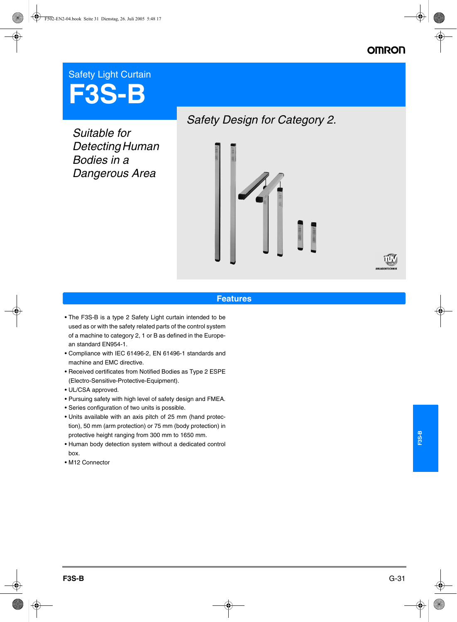## **OMRO**

# Safety Light Curtain **F3S-B**

*Suitable for Detecting Human Bodies in a Dangerous Area*



#### **Features**

- The F3S-B is a type 2 Safety Light curtain intended to be used as or with the safety related parts of the control system of a machine to category 2, 1 or B as defined in the European standard EN954-1.
- Compliance with IEC 61496-2, EN 61496-1 standards and machine and EMC directive.
- Received certificates from Notified Bodies as Type 2 ESPE (Electro-Sensitive-Protective-Equipment).
- UL/CSA approved.
- Pursuing safety with high level of safety design and FMEA.
- Series configuration of two units is possible.
- Units available with an axis pitch of 25 mm (hand protection), 50 mm (arm protection) or 75 mm (body protection) in protective height ranging from 300 mm to 1650 mm.
- Human body detection system without a dedicated control box.
- M12 Connector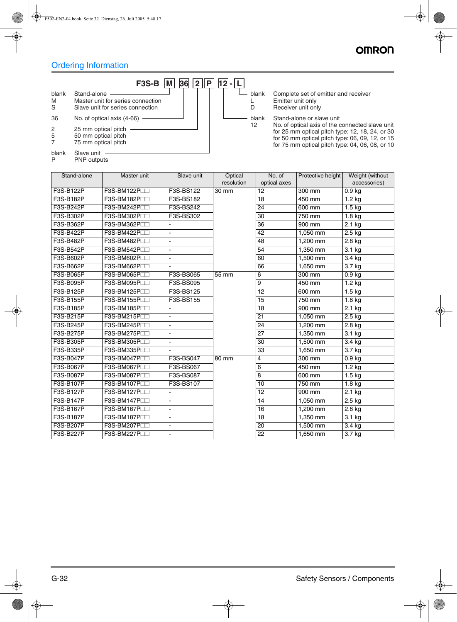## Ordering Information

PNP outputs



blank Complete set of emitter and receiver L Emitter unit only<br>D Receiver unit on Receiver unit only

blank Stand-alone or slave unit<br>12 No. of optical axis of the c No. of optical axis of the connected slave unit for 25 mm optical pitch type: 12, 18, 24, or 30 for 50 mm optical pitch type: 06, 09, 12, or 15 for 75 mm optical pitch type: 04, 06, 08, or 10

| Stand-alone | Master unit   | Slave unit     | Optical    | No. of          | Protective height | Weight (without   |
|-------------|---------------|----------------|------------|-----------------|-------------------|-------------------|
|             |               |                | resolution | optical axes    |                   | accessories)      |
| F3S-B122P   | F3S-BM122P    | F3S-BS122      | 30 mm      | 12              | 300 mm            | 0.9 <sub>kg</sub> |
| F3S-B182P   | F3S-BM182P    | F3S-BS182      |            | 18              | 450 mm            | $1.2$ kg          |
| F3S-B242P   | F3S-BM242P    | F3S-BS242      |            | 24              | 600 mm            | $1.5 \text{ kg}$  |
| F3S-B302P   | F3S-BM302P    | F3S-BS302      |            | 30              | 750 mm            | $1.8$ kg          |
| F3S-B362P   | F3S-BM362P    |                |            | 36              | 900 mm            | $2.1$ kg          |
| F3S-B422P   | F3S-BM422P    |                |            | 42              | 1,050 mm          | $2.5$ kg          |
| F3S-B482P   | F3S-BM482P    |                |            | 48              | 1,200 mm          | 2.8 kg            |
| F3S-B542P   | F3S-BM542P    |                |            | 54              | 1,350 mm          | 3.1 kg            |
| F3S-B602P   | F3S-BM602P    |                |            | 60              | 1,500 mm          | 3.4 kg            |
| F3S-B662P   | F3S-BM662P    |                |            | 66              | 1,650 mm          | 3.7 kg            |
| F3S-B065P   | F3S-BM065PIII | F3S-BS065      | 55 mm      | 6               | 300 mm            | 0.9 <sub>kg</sub> |
| F3S-B095P   | F3S-BM095PIII | F3S-BS095      |            | 9               | 450 mm            | $1.2$ kg          |
| F3S-B125P   | F3S-BM125P    | F3S-BS125      |            | 12              | 600 mm            | $1.5$ kg          |
| F3S-B155P   | F3S-BM155P    | F3S-BS155      |            | 15              | 750 mm            | $1.8$ kg          |
| F3S-B185P   | F3S-BM185P    |                |            | 18              | 900 mm            | $2.1$ kg          |
| F3S-B215P   | F3S-BM215PIII |                |            | $\overline{21}$ | 1,050 mm          | $2.5$ kg          |
| F3S-B245P   | F3S-BM245PIII | $\blacksquare$ |            | 24              | 1,200 mm          | 2.8 kg            |
| F3S-B275P   | F3S-BM275PLL  | ٠              |            | 27              | 1,350 mm          | $3.1$ kg          |
| F3S-B305P   | F3S-BM305PIII |                |            | $\overline{30}$ | 1,500 mm          | 3.4 kg            |
| F3S-B335P   | F3S-BM335PIII |                |            | 33              | 1,650 mm          | 3.7 kg            |
| F3S-B047P   | F3S-BM047P    | F3S-BS047      | 80 mm      | 4               | 300 mm            | 0.9 <sub>kg</sub> |
| F3S-B067P   | F3S-BM067P    | F3S-BS067      |            | 6               | 450 mm            | $1.2$ kg          |
| F3S-B087P   | F3S-BM087P    | F3S-BS087      |            | 8               | 600 mm            | $1.5$ kg          |
| F3S-B107P   | F3S-BM107P    | F3S-BS107      |            | 10              | 750 mm            | $1.8$ kg          |
| F3S-B127P   | F3S-BM127P    |                |            | $\overline{12}$ | 900 mm            | $2.1$ kg          |
| F3S-B147P   | F3S-BM147PIII |                |            | 14              | 1,050 mm          | 2.5 kg            |
| F3S-B167P   | F3S-BM167PIII | $\blacksquare$ |            | $\overline{16}$ | 1,200 mm          | 2.8 kg            |
| F3S-B187P   | F3S-BM187P    |                |            | 18              | 1,350 mm          | 3.1 kg            |
| F3S-B207P   | F3S-BM207PIII |                |            | 20              | 1,500 mm          | 3.4 kg            |
| F3S-B227P   | F3S-BM227P    | ٠              |            | 22              | 1,650 mm          | 3.7 kg            |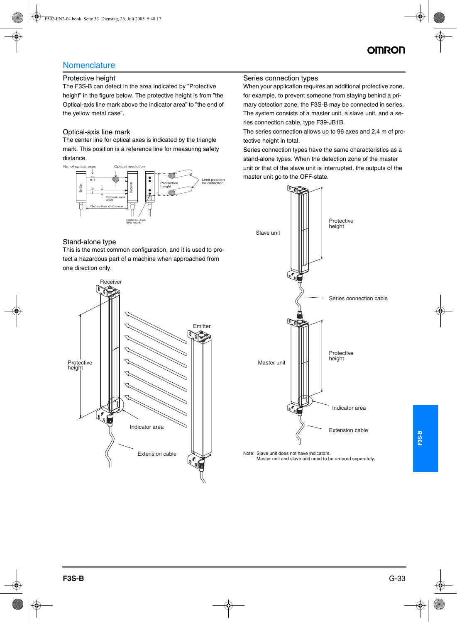## **Nomenclature**

#### Protective height

The F3S-B can detect in the area indicated by "Protective height" in the figure below. The protective height is from "the Optical-axis line mark above the indicator area" to "the end of the yellow metal case".

#### Optical-axis line mark

The center line for optical axes is indicated by the triangle mark. This position is a reference line for measuring safety distance.



#### Stand-alone type

This is the most common configuration, and it is used to protect a hazardous part of a machine when approached from one direction only.



#### Series connection types

When your application requires an additional protective zone, for example, to prevent someone from staying behind a primary detection zone, the F3S-B may be connected in series. The system consists of a master unit, a slave unit, and a series connection cable, type F39-JB1B.

The series connection allows up to 96 axes and 2.4 m of protective height in total.

Series connection types have the same characteristics as a stand-alone types. When the detection zone of the master unit or that of the slave unit is interrupted, the outputs of the master unit go to the OFF-state.



Note: Slave unit does not have indicators. Master unit and slave unit need to be ordered separately.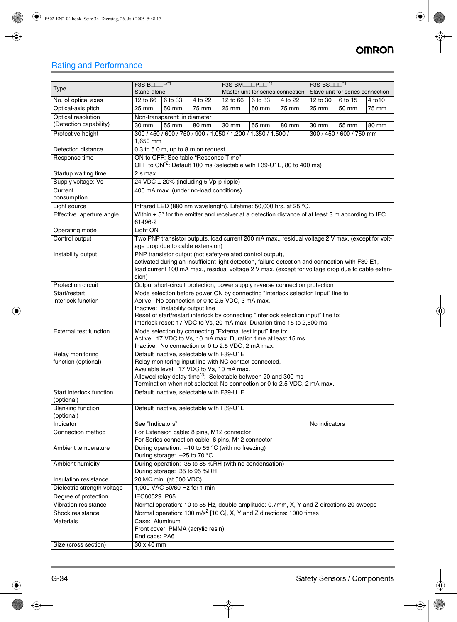## **OMRON**

## Rating and Performance

|                                        | $F3S-B$                                                                                                                  | F3S-BMOODPOO <sup>*1</sup>                                                                                                                                    | $F3S-BS$                                                                                          |  |  |
|----------------------------------------|--------------------------------------------------------------------------------------------------------------------------|---------------------------------------------------------------------------------------------------------------------------------------------------------------|---------------------------------------------------------------------------------------------------|--|--|
| Type                                   | Stand-alone                                                                                                              | Master unit for series connection                                                                                                                             | Slave unit for series connection                                                                  |  |  |
| No. of optical axes                    | 6 to 33<br>4 to 22<br>12 to 66                                                                                           | 12 to 66<br>6 to 33<br>4 to 22                                                                                                                                | 12 to 30<br>6 to 15<br>4 to 10                                                                    |  |  |
| Optical-axis pitch                     | 75 mm<br>25 mm<br>50 mm                                                                                                  | 25 mm<br>75 mm<br>50 mm                                                                                                                                       | 25 mm<br>75 mm<br>50 mm                                                                           |  |  |
| Optical resolution                     | Non-transparent: in diameter                                                                                             |                                                                                                                                                               |                                                                                                   |  |  |
| (Detection capability)                 | 30 mm<br>55 mm<br>80 mm                                                                                                  | 30 mm<br>55 mm<br>80 mm                                                                                                                                       | 80 mm<br>30 mm<br>55 mm                                                                           |  |  |
| Protective height                      | 300 / 450 / 600 / 750 / 900 / 1,050 / 1,200 / 1,350 / 1,500 /<br>1,650 mm                                                |                                                                                                                                                               | 300 / 450 / 600 / 750 mm                                                                          |  |  |
| Detection distance                     | $0.3$ to 5.0 m, up to 8 m on request                                                                                     |                                                                                                                                                               |                                                                                                   |  |  |
| Response time                          | ON to OFF: See table "Response Time"<br>OFF to ON <sup>*2</sup> : Default 100 ms (selectable with F39-U1E, 80 to 400 ms) |                                                                                                                                                               |                                                                                                   |  |  |
| Startup waiting time                   | 2 s max.                                                                                                                 |                                                                                                                                                               |                                                                                                   |  |  |
| Supply voltage: Vs                     | 24 VDC ± 20% (including 5 Vp-p ripple)                                                                                   |                                                                                                                                                               |                                                                                                   |  |  |
| Current                                | 400 mA max. (under no-load conditions)                                                                                   |                                                                                                                                                               |                                                                                                   |  |  |
| consumption                            |                                                                                                                          |                                                                                                                                                               |                                                                                                   |  |  |
| Light source                           |                                                                                                                          | Infrared LED (880 nm wavelength). Lifetime: 50,000 hrs. at 25 °C.                                                                                             |                                                                                                   |  |  |
| Effective aperture angle               | 61496-2                                                                                                                  | Within $\pm 5^{\circ}$ for the emitter and receiver at a detection distance of at least 3 m according to IEC                                                  |                                                                                                   |  |  |
| Operating mode                         | Light ON                                                                                                                 |                                                                                                                                                               |                                                                                                   |  |  |
| Control output                         | age drop due to cable extension)                                                                                         |                                                                                                                                                               | Two PNP transistor outputs, load current 200 mA max., residual voltage 2 V max. (except for volt- |  |  |
| Instability output                     | PNP transistor output (not safety-related control output),                                                               |                                                                                                                                                               |                                                                                                   |  |  |
|                                        |                                                                                                                          | activated during an insufficient light detection, failure detection and connection with F39-E1,                                                               | load current 100 mA max., residual voltage 2 V max. (except for voltage drop due to cable exten-  |  |  |
|                                        | sion)                                                                                                                    |                                                                                                                                                               |                                                                                                   |  |  |
| Protection circuit                     |                                                                                                                          | Output short-circuit protection, power supply reverse connection protection                                                                                   |                                                                                                   |  |  |
| Start/restart                          |                                                                                                                          | Mode selection before power ON by connecting "Interlock selection input" line to:                                                                             |                                                                                                   |  |  |
| interlock function                     | Active: No connection or 0 to 2.5 VDC, 3 mA max.                                                                         |                                                                                                                                                               |                                                                                                   |  |  |
|                                        | Inactive: Instability output line                                                                                        |                                                                                                                                                               |                                                                                                   |  |  |
|                                        |                                                                                                                          | Reset of start/restart interlock by connecting "Interlock selection input" line to:<br>Interlock reset: 17 VDC to Vs, 20 mA max. Duration time 15 to 2,500 ms |                                                                                                   |  |  |
| External test function                 | Mode selection by connecting "External test input" line to:                                                              |                                                                                                                                                               |                                                                                                   |  |  |
|                                        |                                                                                                                          | Active: 17 VDC to Vs, 10 mA max. Duration time at least 15 ms                                                                                                 |                                                                                                   |  |  |
|                                        | Inactive: No connection or 0 to 2.5 VDC, 2 mA max.                                                                       |                                                                                                                                                               |                                                                                                   |  |  |
| Relay monitoring                       | Default inactive, selectable with F39-U1E                                                                                |                                                                                                                                                               |                                                                                                   |  |  |
| function (optional)                    | Relay monitoring input line with NC contact connected,                                                                   |                                                                                                                                                               |                                                                                                   |  |  |
|                                        | Available level: 17 VDC to Vs, 10 mA max.                                                                                |                                                                                                                                                               |                                                                                                   |  |  |
|                                        |                                                                                                                          | Allowed relay delay time <sup>*3</sup> : Selectable between 20 and 300 ms                                                                                     |                                                                                                   |  |  |
|                                        |                                                                                                                          | Termination when not selected: No connection or 0 to 2.5 VDC, 2 mA max.                                                                                       |                                                                                                   |  |  |
| Start interlock function<br>(optional) | Default inactive, selectable with F39-U1E                                                                                |                                                                                                                                                               |                                                                                                   |  |  |
| <b>Blanking function</b>               | Default inactive, selectable with F39-U1E                                                                                |                                                                                                                                                               |                                                                                                   |  |  |
| (optional)                             |                                                                                                                          |                                                                                                                                                               |                                                                                                   |  |  |
| Indicator                              | See "Indicators"                                                                                                         |                                                                                                                                                               | No indicators                                                                                     |  |  |
| Connection method                      | For Extension cable: 8 pins, M12 connector                                                                               |                                                                                                                                                               |                                                                                                   |  |  |
|                                        | For Series connection cable: 6 pins, M12 connector                                                                       |                                                                                                                                                               |                                                                                                   |  |  |
| Ambient temperature                    | During operation: $-10$ to 55 °C (with no freezing)<br>During storage: - 25 to 70 °C                                     |                                                                                                                                                               |                                                                                                   |  |  |
| Ambient humidity                       | During operation: 35 to 85 %RH (with no condensation)<br>During storage: 35 to 95 %RH                                    |                                                                                                                                                               |                                                                                                   |  |  |
| Insulation resistance                  | 20 MΩ min. (at 500 VDC)                                                                                                  |                                                                                                                                                               |                                                                                                   |  |  |
| Dielectric strength voltage            | 1,000 VAC 50/60 Hz for 1 min                                                                                             |                                                                                                                                                               |                                                                                                   |  |  |
| Degree of protection                   | IEC60529 IP65                                                                                                            |                                                                                                                                                               |                                                                                                   |  |  |
| Vibration resistance                   |                                                                                                                          | Normal operation: 10 to 55 Hz, double-amplitude: 0.7mm, X, Y and Z directions 20 sweeps                                                                       |                                                                                                   |  |  |
| Shock resistance                       |                                                                                                                          | Normal operation: 100 m/s <sup>2</sup> [10 G], X, Y and Z directions: 1000 times                                                                              |                                                                                                   |  |  |
| <b>Materials</b>                       | Case: Aluminum                                                                                                           |                                                                                                                                                               |                                                                                                   |  |  |
|                                        | Front cover: PMMA (acrylic resin)                                                                                        |                                                                                                                                                               |                                                                                                   |  |  |
|                                        | End caps: PA6                                                                                                            |                                                                                                                                                               |                                                                                                   |  |  |
| Size (cross section)                   | 30 x 40 mm                                                                                                               |                                                                                                                                                               |                                                                                                   |  |  |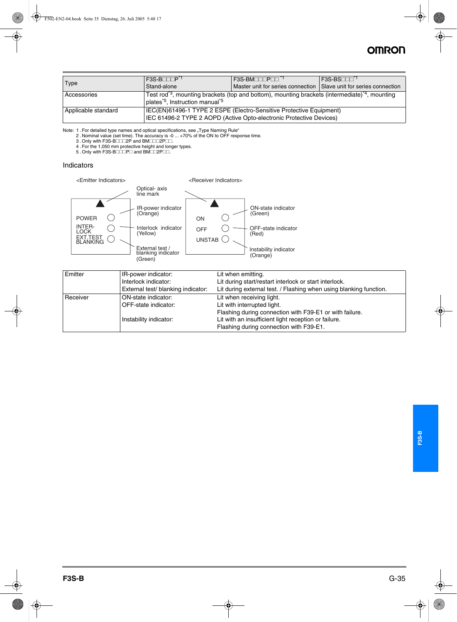## **OMRON**

| Type                | $F3S-B$<br>Stand-alone                                                                                                                     | $F3S-BM$<br>Master unit for series connection Slave unit for series connection                                       | $\mathsf{F}$ 3S-BS $\mathsf{T}$ T $\mathsf{T}^{\mathsf{T}}$ |
|---------------------|--------------------------------------------------------------------------------------------------------------------------------------------|----------------------------------------------------------------------------------------------------------------------|-------------------------------------------------------------|
| Accessories         | plates <sup>*5</sup> , Instruction manual <sup>*5</sup>                                                                                    | Test rod <sup>3</sup> , mounting brackets (top and bottom), mounting brackets (intermediate) <sup>4</sup> , mounting |                                                             |
| Applicable standard | IEC(EN)61496-1 TYPE 2 ESPE (Electro-Sensitive Protective Equipment)<br>IEC 61496-2 TYPE 2 AOPD (Active Opto-electronic Protective Devices) |                                                                                                                      |                                                             |

Note: 1 . For detailed type names and optical specifications, see "Type Naming Rule"<br>2 . Nominal value (set time). The accuracy is -0 ... +70% of the ON to OFF response time.

3 .Only with F3S-B###2P and BM###2P##. 4 .For the 1,050 mm protective height and longer types. 5 .Only with F3S-B###P# and BM##2P##.

#### Indicators



| <b>IR-power indicator:</b>         | Lit when emitting.                                                 |
|------------------------------------|--------------------------------------------------------------------|
| Interlock indicator:               | Lit during start/restart interlock or start interlock.             |
| External test/ blanking indicator: | Lit during external test. / Flashing when using blanking function. |
| ON-state indicator:                | Lit when receiving light.                                          |
| OFF-state indicator:               | Lit with interrupted light.                                        |
|                                    | Flashing during connection with F39-E1 or with failure.            |
| Instability indicator:             | Lit with an insufficient light reception or failure.               |
|                                    | Flashing during connection with F39-E1.                            |
|                                    |                                                                    |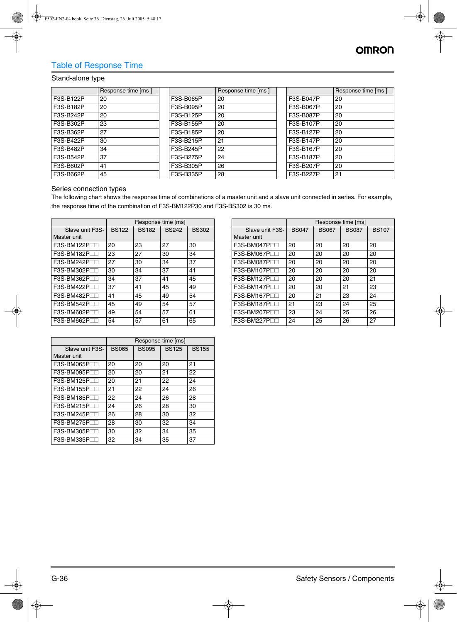## Table of Response Time

#### Stand-alone type

|           | Response time [ms ] |           | Response time [ms ] |           | Response time [ms ] |
|-----------|---------------------|-----------|---------------------|-----------|---------------------|
| F3S-B122P | 20                  | F3S-B065P | 20                  | F3S-B047P | 20                  |
| F3S-B182P | 20                  | F3S-B095P | 20                  | F3S-B067P | 20                  |
| F3S-B242P | 20                  | F3S-B125P | 20                  | F3S-B087P | 20                  |
| F3S-B302P | 23                  | F3S-B155P | 20                  | F3S-B107P | 20                  |
| F3S-B362P | 27                  | F3S-B185P | 20                  | F3S-B127P | 20                  |
| F3S-B422P | 30                  | F3S-B215P | 21                  | F3S-B147P | 20                  |
| F3S-B482P | 34                  | F3S-B245P | 22                  | F3S-B167P | 20                  |
| F3S-B542P | 37                  | F3S-B275P | 24                  | F3S-B187P | 20                  |
| F3S-B602P | 41                  | F3S-B305P | 26                  | F3S-B207P | 20                  |
| F3S-B662P | 45                  | F3S-B335P | 28                  | F3S-B227P | 21                  |

#### Series connection types

The following chart shows the response time of combinations of a master unit and a slave unit connected in series. For example, the response time of the combination of F3S-BM122P30 and F3S-BS302 is 30 ms.

|                         |              |              | Response time [ms] |              |
|-------------------------|--------------|--------------|--------------------|--------------|
| Slave unit F3S-         | <b>BS122</b> | <b>BS182</b> | <b>BS242</b>       | <b>BS302</b> |
| Master unit             |              |              |                    |              |
| $F3S-BM122PTT$          | 20           | 23           | 27                 | 30           |
| $F3S-BM182PTT$          | 23           | 27           | 30                 | 34           |
| F3S-BM242PTT            | 27           | 30           | 34                 | 37           |
| F3S-BM302PTT            | 30           | 34           | 37                 | 41           |
| F3S-BM362PTT            | 34           | 37           | 41                 | 45           |
| $F3S-BM422P\square$     | 37           | 41           | 45                 | 49           |
| $F3S-BM482P\square$     | 41           | 45           | 49                 | 54           |
| $F3S-BM542PTT$          | 45           | 49           | 54                 | 57           |
| F3S-BM602P <sup>T</sup> | 49           | 54           | 57                 | 61           |
| F3S-BM662P              | 54           | 57           | 61                 | 65           |
|                         |              |              |                    |              |

|                 |              |              | Response time [ms] |              |
|-----------------|--------------|--------------|--------------------|--------------|
| Slave unit F3S- | <b>BS047</b> | <b>BS067</b> | <b>BS087</b>       | <b>BS107</b> |
| Master unit     |              |              |                    |              |
| $F3S-BM047P$    | 20           | 20           | 20                 | 20           |
| $F3S-BM067P$    | 20           | 20           | 20                 | 20           |
| $F3S-BM087P$    | 20           | 20           | 20                 | 20           |
| $F3S-BM107P$    | 20           | 20           | 20                 | 20           |
| $F3S-BM127P$    | 20           | 20           | 20                 | 21           |
| $F3S-BM147P$    | 20           | 20           | 21                 | 23           |
| $F3S-BM167P$    | 20           | 21           | 23                 | 24           |
| $F3S-BM187P$    | 21           | 23           | 24                 | 25           |
| F3S-BM207PTT    | 23           | 24           | 25                 | 26           |
| $F3S-BM227PTT$  | 24           | 25           | 26                 | 27           |

| <b>BS155</b><br>21<br>22 |
|--------------------------|
|                          |
|                          |
|                          |
|                          |
| 24                       |
| 26                       |
| 28                       |
| 30                       |
| 32                       |
| 34                       |
| 35                       |
| 37                       |
|                          |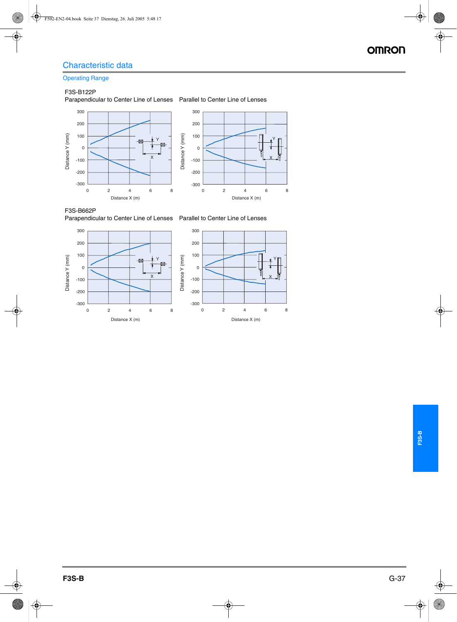## **Operating Range**

#### F3S-B122P

Parapendicular to Center Line of Lenses Parallel to Center Line of Lenses





F3S-B662P<br>Parapendicular to Center Line of Lenses Parallel to Center Line of Lenses



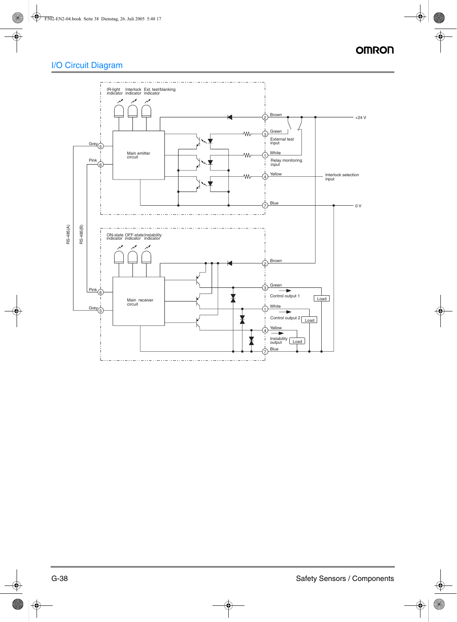## I/O Circuit Diagram

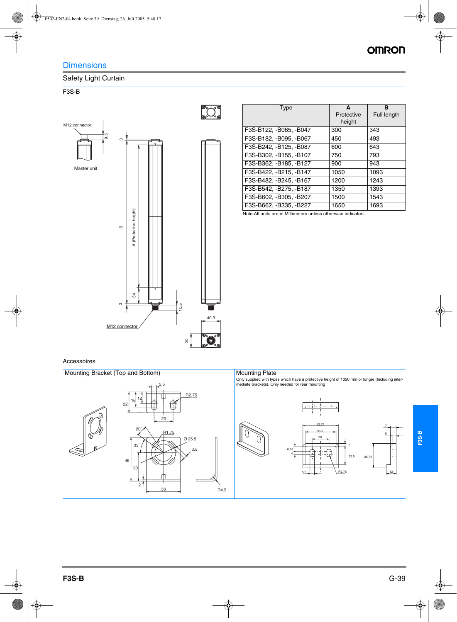## **OMRON**

## **Dimensions**

### Safety Light Curtain

#### F3S-B



| Type                   | A<br>Protective<br>height | в<br><b>Full length</b> |
|------------------------|---------------------------|-------------------------|
| F3S-B122, -B065, -B047 | 300                       | 343                     |
| F3S-B182, -B095, -B067 | 450                       | 493                     |
| F3S-B242, -B125, -B087 | 600                       | 643                     |
| F3S-B302, -B155, -B107 | 750                       | 793                     |
| F3S-B362, -B185, -B127 | 900                       | 943                     |
| F3S-B422, -B215, -B147 | 1050                      | 1093                    |
| F3S-B482, -B245, -B167 | 1200                      | 1243                    |
| F3S-B542, -B275, -B187 | 1350                      | 1393                    |
| F3S-B602, -B305, -B207 | 1500                      | 1543                    |
| F3S-B662, -B335, -B227 | 1650                      | 1693                    |

Note:All units are in Millimeters unless otherwise indicated.

#### Accessoires

Mounting Bracket (Top and Bottom)



Only supplied with types which have a protective height of 1050 mm or longer (Including inter-mediate brackets). Only needed for rear mounting



**F3S-B**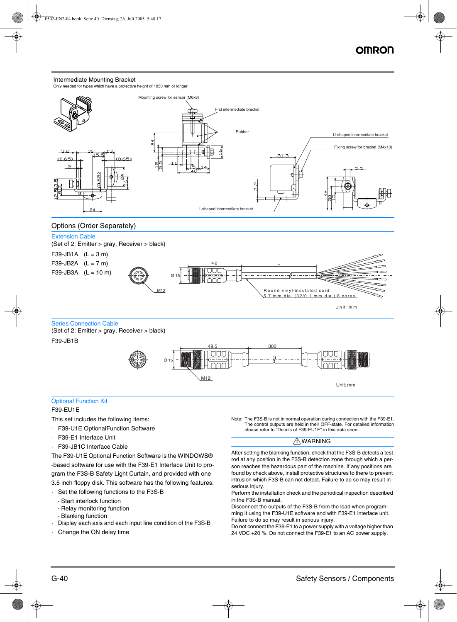#### Intermediate Mounting Bracket

Only needed for types which have a protective height of 1050 mm or longer



#### Options (Order Separately)

#### Extension Cable

(Set of 2: Emitter > gray, Receiver > black)

 $F39-JB1A$   $(L = 3 m)$ 





Series Connection Cable

(Set of 2: Emitter > gray, Receiver > black) F39-JB1B



#### Optional Function Kit F39-EU1E

This set includes the following items:

- · F39-U1E OptionalFunction Software
- · F39-E1 Interface Unit
- · F39-JB1C Interface Cable

The F39-U1E Optional Function Software is the WINDOWS® -based software for use with the F39-E1 Interface Unit to program the F3S-B Safety Light Curtain, and provided with one 3.5 inch floppy disk. This software has the following features:

- · Set the following functions to the F3S-B
	- Start interlock function
	- Relay monitoring function
	- Blanking function
- Display each axis and each input line condition of the F3S-B
- Change the ON delay time

Note: The F3S-B is not in normal operation during connection with the F39-E1. The control outputs are held in their OFF-state. For detailed information please refer to "Details of F39-EU1E" in this data sheet.

#### $\bigwedge$ WARNING

After setting the blanking function, check that the F3S-B detects a test rod at any position in the F3S-B detection zone through which a person reaches the hazardous part of the machine. If any positions are found by check above, install protective structures to there to prevent intrusion which F3S-B can not detect. Failure to do so may result in serious injury.

Perform the installation check and the periodical inspection described in the F3S-B manual.

Disconnect the outputs of the F3S-B from the load when programming it using the F39-U1E software and with F39-E1 interface unit. Failure to do so may result in serious injury.

Do not connect the F39-E1 to a power supply with a voltage higher than 24 VDC +20 %. Do not connect the F39-E1 to an AC power supply.

U nit: m m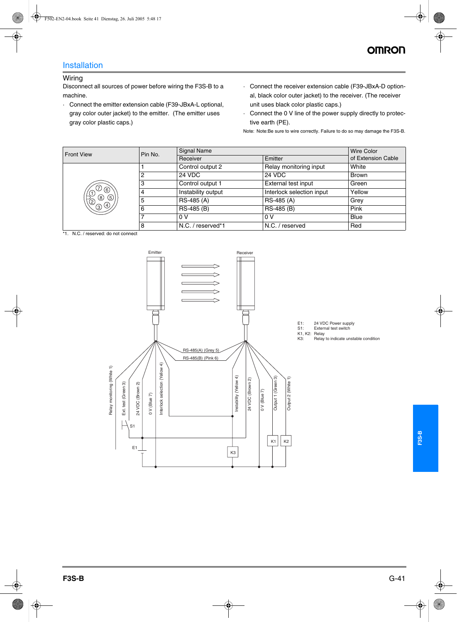### Installation

#### Wiring

Disconnect all sources of power before wiring the F3S-B to a machine.

- · Connect the emitter extension cable (F39-JBxA-L optional, gray color outer jacket) to the emitter. (The emitter uses gray color plastic caps.)
- · Connect the receiver extension cable (F39-JBxA-D optional, black color outer jacket) to the receiver. (The receiver unit uses black color plastic caps.)
- · Connect the 0 V line of the power supply directly to protective earth (PE).

Note: Note:Be sure to wire correctly. Failure to do so may damage the F3S-B.

| <b>Front View</b>                                                             | Signal Name<br>Pin No.<br>Receiver |                    | Wire Color                |              |
|-------------------------------------------------------------------------------|------------------------------------|--------------------|---------------------------|--------------|
|                                                                               |                                    | Emitter            | of Extension Cable        |              |
|                                                                               |                                    | Control output 2   | Relay monitoring input    | White        |
|                                                                               | 2                                  | 24 VDC             | 24 VDC                    | <b>Brown</b> |
|                                                                               | 3                                  | Control output 1   | External test input       | Green        |
| $\circledcirc$                                                                | 4                                  | Instability output | Interlock selection input | Yellow       |
| $\begin{matrix} 1 & 0 \\ 0 & 0 \end{matrix}$<br>$^{\circledR}$<br>$\circledS$ | 5                                  | RS-485 (A)         | RS-485 (A)                | Grey         |
| $\bigcirc \circledcirc$                                                       | 6                                  | RS-485 (B)         | RS-485 (B)                | Pink         |
|                                                                               |                                    | 0V                 | 0V                        | <b>Blue</b>  |
|                                                                               | 8                                  | N.C. / reserved*1  | N.C. / reserved           | Red          |

\*1. N.C. / reserved: do not connect

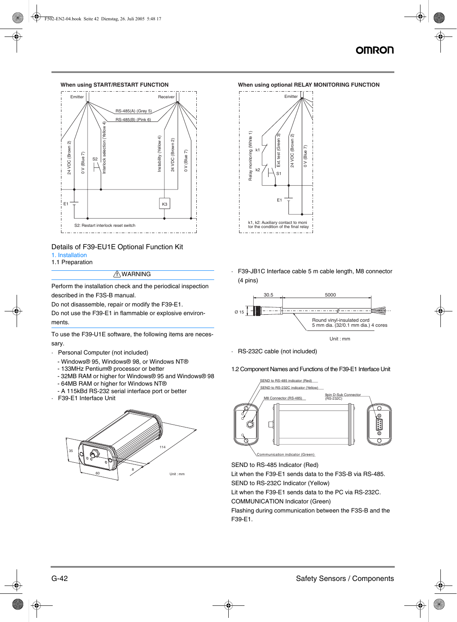## NMRC



#### Details of F39-EU1E Optional Function Kit

#### 1. Installation

#### 1.1 Preparation

#### A WARNING

Perform the installation check and the periodical inspection described in the F3S-B manual.

Do not disassemble, repair or modify the F39-E1.

Do not use the F39-E1 in flammable or explosive environments.

To use the F39-U1E software, the following items are necessary.

- · Personal Computer (not included)
	- Windows® 95, Windows® 98, or Windows NT®
	- 133MHz Pentium® processor or better
	- 32MB RAM or higher for Windows® 95 and Windows® 98 - 64MB RAM or higher for Windows NT®
	- A 115kBd RS-232 serial interface port or better
- F39-E1 Interface Unit



#### **When using START/RESTART FUNCTION When using optional RELAY MONITORING FUNCTION**



F39-JB1C Interface cable 5 m cable length, M8 connector (4 pins)



· RS-232C cable (not included)

1.2 Component Names and Functions of the F39-E1 Interface Unit



SEND to RS-485 Indicator (Red)

Lit when the F39-E1 sends data to the F3S-B via RS-485.

SEND to RS-232C Indicator (Yellow)

Lit when the F39-E1 sends data to the PC via RS-232C.

COMMUNICATION Indicator (Green)

Flashing during communication between the F3S-B and the F39-E1.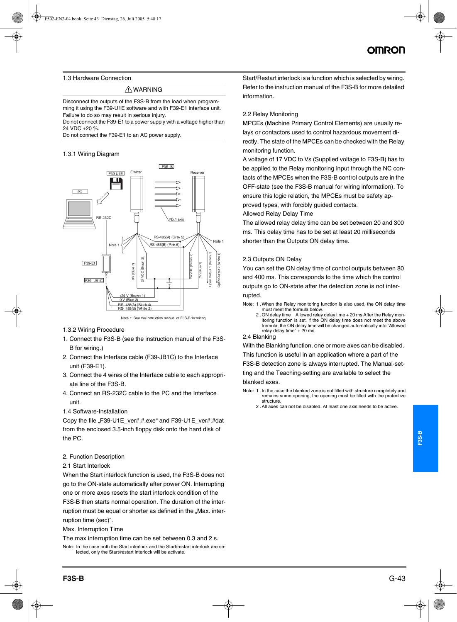#### 1.3 Hardware Connection

#### A WARNING

Disconnect the outputs of the F3S-B from the load when programming it using the F39-U1E software and with F39-E1 interface unit. Failure to do so may result in serious injury.

Do not connect the F39-E1 to a power supply with a voltage higher than 24 VDC +20 %.

Do not connect the F39-E1 to an AC power supply.

#### 1.3.1 Wiring Diagram



Note 1: See the instruction manual of F3S-B for wiring

#### 1.3.2 Wiring Procedure

- 1. Connect the F3S-B (see the instruction manual of the F3S-B for wiring.)
- 2. Connect the Interface cable (F39-JB1C) to the Interface unit (F39-E1).
- 3. Connect the 4 wires of the Interface cable to each appropriate line of the F3S-B.
- 4. Connect an RS-232C cable to the PC and the Interface unit.
- 1.4 Software-Installation

Copy the file "F39-U1E\_ver#.#.exe" and F39-U1E\_ver#.#dat from the enclosed 3.5-inch floppy disk onto the hard disk of the PC.

#### 2. Function Description

#### 2.1 Start Interlock

When the Start interlock function is used, the F3S-B does not go to the ON-state automatically after power ON. Interrupting one or more axes resets the start interlock condition of the

F3S-B then starts normal operation. The duration of the interruption must be equal or shorter as defined in the "Max, interruption time (sec)".

Max. Interruption Time

The max interruption time can be set between 0.3 and 2 s.

Note: In the case both the Start interlock and the Start/restart interlock are selected, only the Start/restart interlock will be activate.

Start/Restart interlock is a function which is selected by wiring. Refer to the instruction manual of the F3S-B for more detailed information.

#### 2.2 Relay Monitoring

MPCEs (Machine Primary Control Elements) are usually relays or contactors used to control hazardous movement directly. The state of the MPCEs can be checked with the Relay monitoring function.

A voltage of 17 VDC to Vs (Supplied voltage to F3S-B) has to be applied to the Relay monitoring input through the NC contacts of the MPCEs when the F3S-B control outputs are in the OFF-state (see the F3S-B manual for wiring information). To ensure this logic relation, the MPCEs must be safety approved types, with forcibly guided contacts.

#### Allowed Relay Delay Time

The allowed relay delay time can be set between 20 and 300 ms. This delay time has to be set at least 20 milliseconds shorter than the Outputs ON delay time.

#### 2.3 Outputs ON Delay

You can set the ON delay time of control outputs between 80 and 400 ms. This corresponds to the time which the control outputs go to ON-state after the detection zone is not interrupted.

- Note: 1 .When the Relay monitoring function is also used, the ON delay time must meet the formula below.
	- 2 .ON delay time Allowed relay delay time + 20 ms After the Relay monitoring function is set, if the ON delay time does not meet the above formula, the ON delay time will be changed automatically into "Allowed relay delay time" + 20 ms.

#### 2.4 Blanking

With the Blanking function, one or more axes can be disabled.

This function is useful in an application where a part of the

F3S-B detection zone is always interrupted. The Manual-set-

ting and the Teaching-setting are available to select the blanked axes.

Note: 1 .In the case the blanked zone is not filled with structure completely and remains some opening, the opening must be filled with the protective structure.

2 .All axes can not be disabled. At least one axis needs to be active.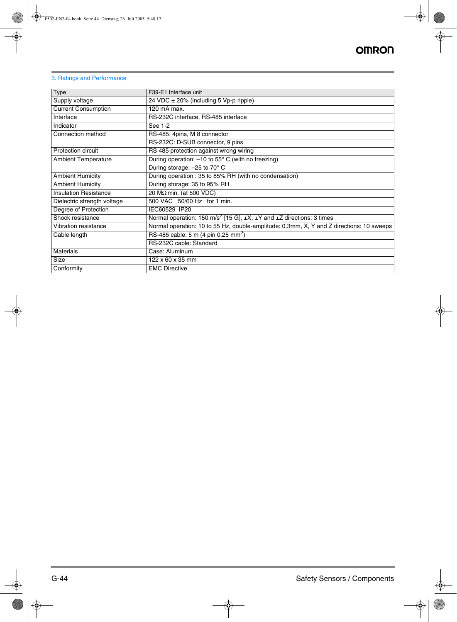#### 3. Ratings and Performance

| Type                         | F39-E1 Interface unit                                                                            |
|------------------------------|--------------------------------------------------------------------------------------------------|
| Supply voltage               | 24 VDC $\pm$ 20% (including 5 Vp-p ripple)                                                       |
| <b>Current Consumption</b>   | 120 mA max.                                                                                      |
| Interface                    | RS-232C interface, RS-485 interface                                                              |
| Indicator                    | See 1-2                                                                                          |
| Connection method            | RS-485: 4pins, M 8 connector                                                                     |
|                              | RS-232C: D-SUB connector, 9 pins                                                                 |
| Protection circuit           | RS 485 protection against wrong wiring                                                           |
| <b>Ambient Temperature</b>   | During operation: -10 to 55° C (with no freezing)                                                |
|                              | During storage: -25 to 70° C                                                                     |
| <b>Ambient Humidity</b>      | During operation: 35 to 85% RH (with no condensation)                                            |
| <b>Ambient Humidity</b>      | During storage: 35 to 95% RH                                                                     |
| <b>Insulation Resistance</b> | $20 M\Omega$ min. (at 500 VDC)                                                                   |
| Dielectric strength voltage  | 500 VAC 50/60 Hz for 1 min.                                                                      |
| Degree of Protection         | IEC60529 IP20                                                                                    |
| Shock resistance             | Normal operation: 150 m/s <sup>2</sup> [15 G], $\pm X$ , $\pm Y$ and $\pm Z$ directions: 3 times |
| Vibration resistance         | Normal operation: 10 to 55 Hz, double-amplitude: 0.3mm, X, Y and Z directions: 10 sweeps         |
| Cable length                 | RS-485 cable: 5 m (4 pin 0.25 mm <sup>2</sup> )                                                  |
|                              | RS-232C cable: Standard                                                                          |
| <b>Materials</b>             | Case: Aluminum                                                                                   |
| Size                         | $122 \times 60 \times 35$ mm                                                                     |
| Conformity                   | <b>EMC Directive</b>                                                                             |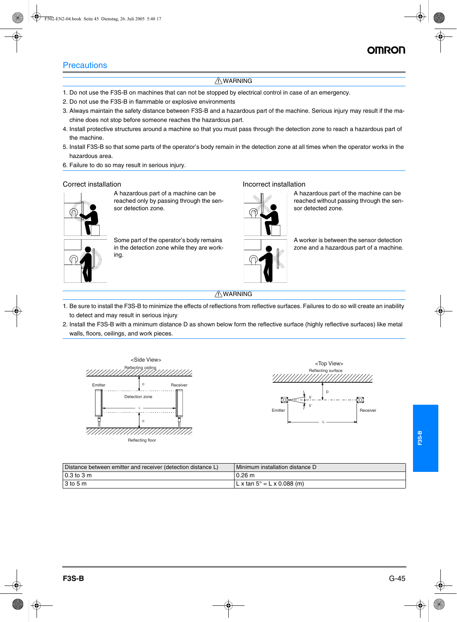### **Precautions**

#### A WARNING

- 1. Do not use the F3S-B on machines that can not be stopped by electrical control in case of an emergency.
- 2. Do not use the F3S-B in flammable or explosive environments
- 3. Always maintain the safety distance between F3S-B and a hazardous part of the machine. Serious injury may result if the machine does not stop before someone reaches the hazardous part.
- 4. Install protective structures around a machine so that you must pass through the detection zone to reach a hazardous part of the machine.
- 5. Install F3S-B so that some parts of the operator's body remain in the detection zone at all times when the operator works in the hazardous area.
- 6. Failure to do so may result in serious injury.

A hazardous part of a machine can be reached only by passing through the sensor detection zone.

Some part of the operator's body remains in the detection zone while they are working.

#### Correct installation **Incorrect** installation



A hazardous part of the machine can be reached without passing through the sensor detected zone.

A worker is between the sensor detection zone and a hazardous part of a machine.

#### A WARNING

- 1. Be sure to install the F3S-B to minimize the effects of reflections from reflective surfaces. Failures to do so will create an inability to detect and may result in serious injury
- 2. Install the F3S-B with a minimum distance D as shown below form the reflective surface (highly reflective surfaces) like metal walls, floors, ceilings, and work pieces.





| Distance between emitter and receiver (detection distance L) | Minimum installation distance D    |
|--------------------------------------------------------------|------------------------------------|
| l 0.3 to 3 m                                                 | $0.26 \text{ m}$                   |
| l 3 to 5 m                                                   | $L x \tan 5^\circ = L x 0.088$ (m) |

**F3S-B**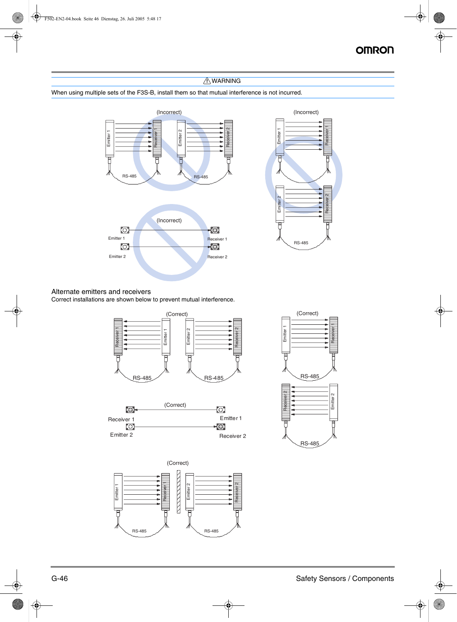Receiver 1

Receiver 2

 $\sim$ 

### A WARNING

#### When using multiple sets of the F3S-B, install them so that mutual interference is not incurred.



#### Alternate emitters and receivers

Correct installations are shown below to prevent mutual interference.





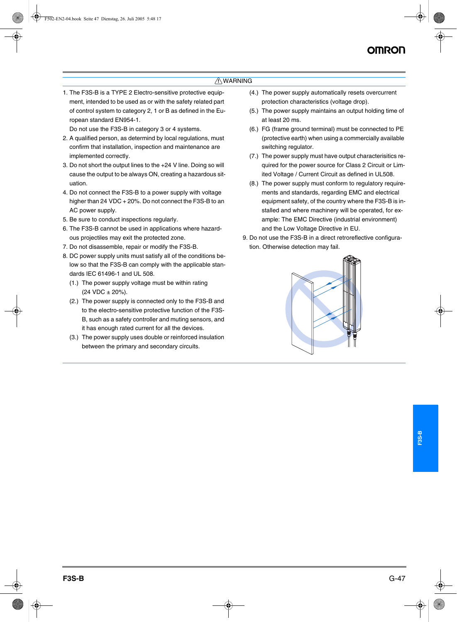#### A WARNING

1. The F3S-B is a TYPE 2 Electro-sensitive protective equipment, intended to be used as or with the safety related part of control system to category 2, 1 or B as defined in the European standard EN954-1.

Do not use the F3S-B in category 3 or 4 systems.

- 2. A qualified person, as determind by local regulations, must confirm that installation, inspection and maintenance are implemented correctly.
- 3. Do not short the output lines to the +24 V line. Doing so will cause the output to be always ON, creating a hazardous situation.
- 4. Do not connect the F3S-B to a power supply with voltage higher than 24 VDC + 20%. Do not connect the F3S-B to an AC power supply.
- 5. Be sure to conduct inspections regularly.
- 6. The F3S-B cannot be used in applications where hazardous projectiles may exit the protected zone.
- 7. Do not disassemble, repair or modify the F3S-B.
- 8. DC power supply units must satisfy all of the conditions below so that the F3S-B can comply with the applicable standards IEC 61496-1 and UL 508.
	- (1.) The power supply voltage must be within rating  $(24 \text{ VDC} \pm 20\%).$
	- (2.) The power supply is connected only to the F3S-B and to the electro-sensitive protective function of the F3S-B, such as a safety controller and muting sensors, and it has enough rated current for all the devices.
	- (3.) The power supply uses double or reinforced insulation between the primary and secondary circuits.
- (4.) The power supply automatically resets overcurrent protection characteristics (voltage drop).
- (5.) The power supply maintains an output holding time of at least 20 ms.
- (6.) FG (frame ground terminal) must be connected to PE (protective earth) when using a commercially available switching regulator.
- (7.) The power supply must have output characterisitics required for the power source for Class 2 Circuit or Limited Voltage / Current Circuit as defined in UL508.
- (8.) The power supply must conform to regulatory requirements and standards, regarding EMC and electrical equipment safety, of the country where the F3S-B is installed and where machinery will be operated, for example: The EMC Directive (industrial environment) and the Low Voltage Directive in EU.
- 9. Do not use the F3S-B in a direct retroreflective configuration. Otherwise detection may fail.